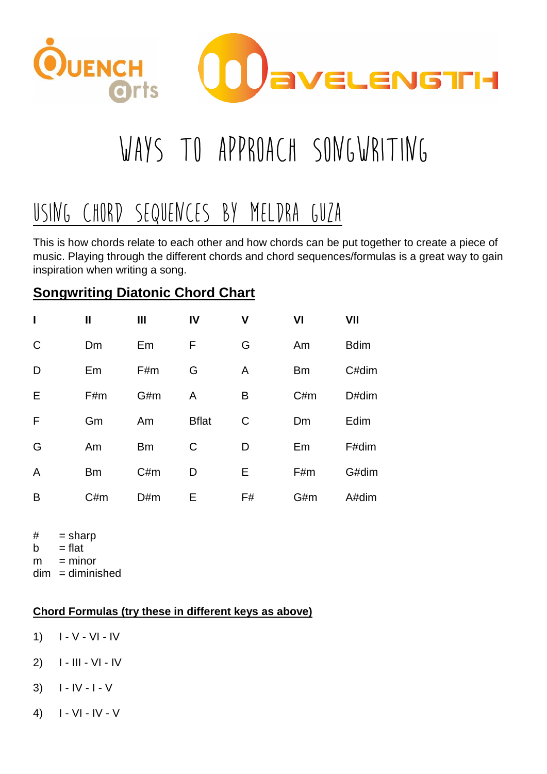

# WAYS TO APPROACH SONGWRITING

# Using CHORD SEQUENCES BY MELDRA gUZA

This is how chords relate to each other and how chords can be put together to create a piece of music. Playing through the different chords and chord sequences/formulas is a great way to gain inspiration when writing a song.

# **Songwriting Diatonic Chord Chart**

| $\mathbf I$  | $\mathbf{I}$ | $\mathbf{III}$ | IV           | ۷  | VI        | VII         |
|--------------|--------------|----------------|--------------|----|-----------|-------------|
| $\mathsf{C}$ | Dm           | Em             | F            | G  | Am        | <b>Bdim</b> |
| D            | Em           | F#m            | G            | A  | <b>Bm</b> | C#dim       |
| Е            | F#m          | G#m            | A            | Β  | C#m       | D#dim       |
| F            | Gm           | Am             | <b>Bflat</b> | C  | Dm        | Edim        |
| G            | Am           | <b>Bm</b>      | C            | D  | Em        | F#dim       |
| A            | <b>Bm</b>    | C#m            | D            | Е  | F#m       | G#dim       |
| B            | C#m          | D#m            | E            | F# | G#m       | A#dim       |

 $#$  = sharp

 $b = flat$ 

 $m =$  minor

 $dim =$ diminished

## **Chord Formulas (try these in different keys as above)**

- 1)  $I V VI IV$
- 2) I III VI IV
- 3)  $I IV I V$
- 4)  $| V| |V V|$